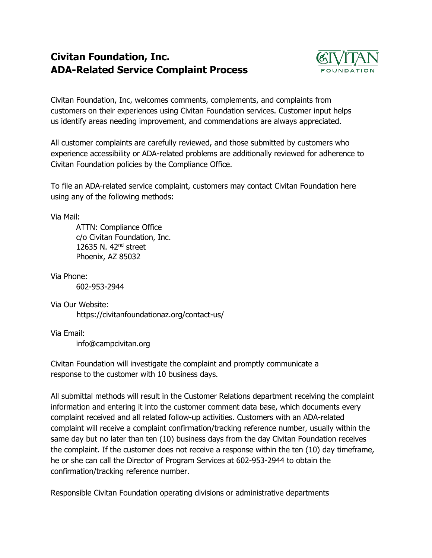## **Civitan Foundation, Inc. ADA-Related Service Complaint Process**



Civitan Foundation, Inc, welcomes comments, complements, and complaints from customers on their experiences using Civitan Foundation services. Customer input helps us identify areas needing improvement, and commendations are always appreciated.

All customer complaints are carefully reviewed, and those submitted by customers who experience accessibility or ADA-related problems are additionally reviewed for adherence to Civitan Foundation policies by the Compliance Office.

To file an ADA-related service complaint, customers may contact Civitan Foundation here using any of the following methods:

Via Mail:

ATTN: Compliance Office c/o Civitan Foundation, Inc. 12635 N. 42nd street Phoenix, AZ 85032

Via Phone:

602-953-2944

Via Our Website: https://civitanfoundationaz.org/contact-us/

Via Email: info@campcivitan.org

Civitan Foundation will investigate the complaint and promptly communicate a response to the customer with 10 business days.

All submittal methods will result in the Customer Relations department receiving the complaint information and entering it into the customer comment data base, which documents every complaint received and all related follow-up activities. Customers with an ADA-related complaint will receive a complaint confirmation/tracking reference number, usually within the same day but no later than ten (10) business days from the day Civitan Foundation receives the complaint. If the customer does not receive a response within the ten (10) day timeframe, he or she can call the Director of Program Services at 602-953-2944 to obtain the confirmation/tracking reference number.

Responsible Civitan Foundation operating divisions or administrative departments